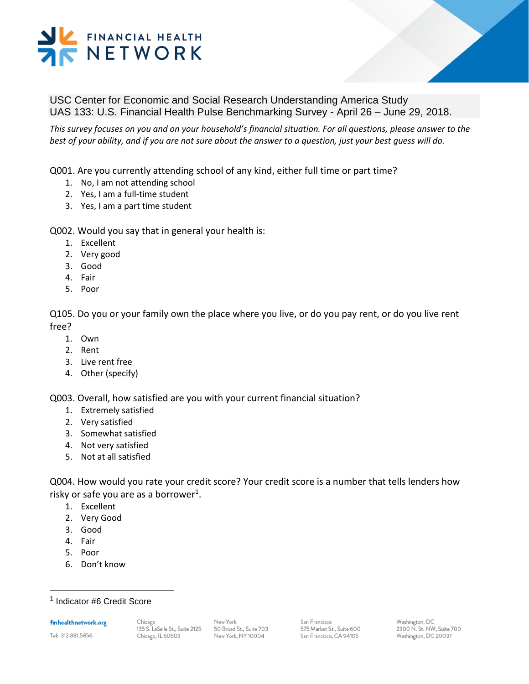### FINANCIAL HEALTH NETWORK

USC Center for Economic and Social Research Understanding America Study UAS 133: U.S. Financial Health Pulse Benchmarking Survey - April 26 – June 29, 2018.

*This survey focuses on you and on your household's financial situation. For all questions, please answer to the best of your ability, and if you are not sure about the answer to a question, just your best guess will do.* 

Q001. Are you currently attending school of any kind, either full time or part time?

- 1. No, I am not attending school
- 2. Yes, I am a full-time student
- 3. Yes, I am a part time student

Q002. Would you say that in general your health is:

- 1. Excellent
- 2. Very good
- 3. Good
- 4. Fair
- 5. Poor

Q105. Do you or your family own the place where you live, or do you pay rent, or do you live rent free?

- 1. Own
- 2. Rent
- 3. Live rent free
- 4. Other (specify)

Q003. Overall, how satisfied are you with your current financial situation?

- 1. Extremely satisfied
- 2. Very satisfied
- 3. Somewhat satisfied
- 4. Not very satisfied
- 5. Not at all satisfied

Q004. How would you rate your credit score? Your credit score is a number that tells lenders how risky or safe you are as a borrower<sup>1</sup>.

- 1. Excellent
- 2. Very Good
- 3. Good
- 4. Fair
- 5. Poor
- 6. Don't know

1 Indicator #6 Credit Score

finhealthnetwork.org

Tel: 312.881.5856

l

New York 50 Broad St., Suite 703 New York, NY 10004

San Francisco 575 Market St., Suite 600 San Francisco, CA 94105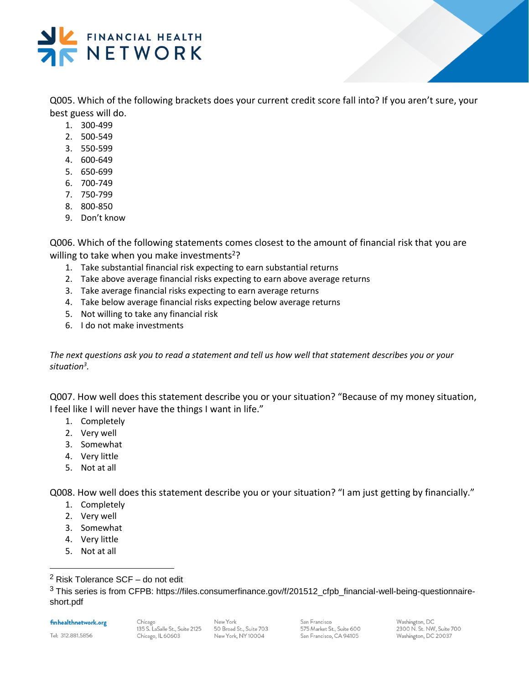

Q005. Which of the following brackets does your current credit score fall into? If you aren't sure, your best guess will do.

- 1. 300-499
- 2. 500-549
- 3. 550-599
- 4. 600-649
- 5. 650-699
- 6. 700-749
- 7. 750-799
- 8. 800-850
- 9. Don't know

Q006. Which of the following statements comes closest to the amount of financial risk that you are willing to take when you make investments<sup>2</sup>?

- 1. Take substantial financial risk expecting to earn substantial returns
- 2. Take above average financial risks expecting to earn above average returns
- 3. Take average financial risks expecting to earn average returns
- 4. Take below average financial risks expecting below average returns
- 5. Not willing to take any financial risk
- 6. I do not make investments

*The next questions ask you to read a statement and tell us how well that statement describes you or your situation<sup>3</sup> .* 

Q007. How well does this statement describe you or your situation? "Because of my money situation, I feel like I will never have the things I want in life."

- 1. Completely
- 2. Very well
- 3. Somewhat
- 4. Very little
- 5. Not at all

Q008. How well does this statement describe you or your situation? "I am just getting by financially."

- 1. Completely
- 2. Very well
- 3. Somewhat
- 4. Very little
- 5. Not at all

<sup>3</sup> This series is from CFPB: https://files.consumerfinance.gov/f/201512\_cfpb\_financial-well-being-questionnaireshort.pdf

#### finhealthnetwork.org

Tel: 312.881.5856

l

New York 50 Broad St., Suite 703 New York, NY 10004

San Francisco 575 Market St., Suite 600 San Francisco, CA 94105

<sup>2</sup> Risk Tolerance SCF – do not edit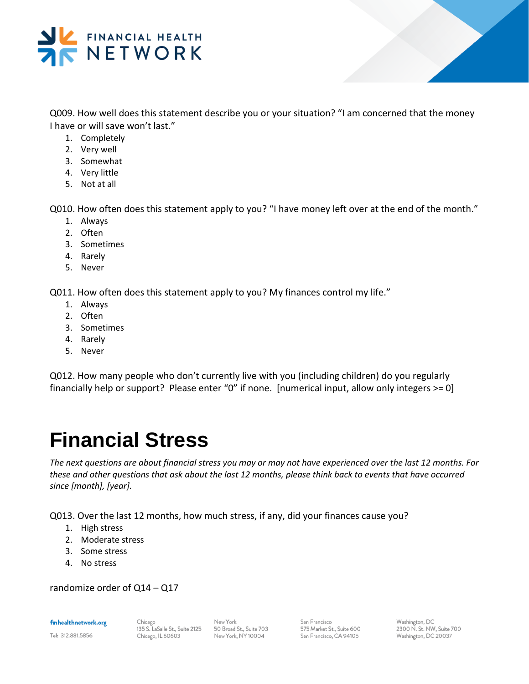

Q009. How well does this statement describe you or your situation? "I am concerned that the money I have or will save won't last."

- 1. Completely
- 2. Very well
- 3. Somewhat
- 4. Very little
- 5. Not at all

Q010. How often does this statement apply to you? "I have money left over at the end of the month."

- 1. Always
- 2. Often
- 3. Sometimes
- 4. Rarely
- 5. Never

Q011. How often does this statement apply to you? My finances control my life."

- 1. Always
- 2. Often
- 3. Sometimes
- 4. Rarely
- 5. Never

Q012. How many people who don't currently live with you (including children) do you regularly financially help or support? Please enter "0" if none. [numerical input, allow only integers >= 0]

### **Financial Stress**

*The next questions are about financial stress you may or may not have experienced over the last 12 months. For these and other questions that ask about the last 12 months, please think back to events that have occurred since [month], [year].* 

Q013. Over the last 12 months, how much stress, if any, did your finances cause you?

- 1. High stress
- 2. Moderate stress
- 3. Some stress
- 4. No stress

randomize order of Q14 – Q17

finhealthnetwork.org

Tel: 312.881.5856

Chicago 135 S. LaSalle St., Suite 2125 Chicago, IL 60603

New York 50 Broad St., Suite 703 New York, NY10004

San Francisco 575 Market St., Suite 600 San Francisco, CA 94105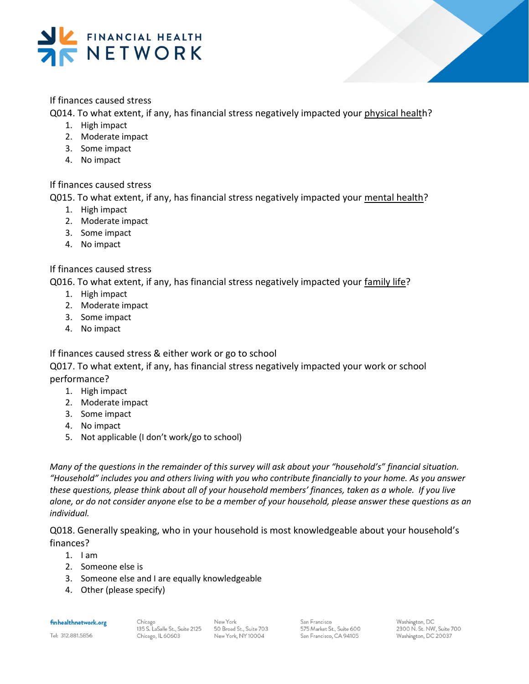

#### If finances caused stress

Q014. To what extent, if any, has financial stress negatively impacted your physical health?

- 1. High impact
- 2. Moderate impact
- 3. Some impact
- 4. No impact

#### If finances caused stress

Q015. To what extent, if any, has financial stress negatively impacted your mental health?

- 1. High impact
- 2. Moderate impact
- 3. Some impact
- 4. No impact

#### If finances caused stress

Q016. To what extent, if any, has financial stress negatively impacted your family life?

- 1. High impact
- 2. Moderate impact
- 3. Some impact
- 4. No impact

If finances caused stress & either work or go to school

Q017. To what extent, if any, has financial stress negatively impacted your work or school performance?

- 1. High impact
- 2. Moderate impact
- 3. Some impact
- 4. No impact
- 5. Not applicable (I don't work/go to school)

*Many of the questions in the remainder of this survey will ask about your "household's" financial situation. "Household" includes you and others living with you who contribute financially to your home. As you answer these questions, please think about all of your household members' finances, taken as a whole. If you live alone, or do not consider anyone else to be a member of your household, please answer these questions as an individual.* 

Q018. Generally speaking, who in your household is most knowledgeable about your household's finances?

- $1.$  I am
- 2. Someone else is
- 3. Someone else and I are equally knowledgeable
- 4. Other (please specify)

finhealthnetwork.org

Tel: 312.881.5856

Chicago 135 S. LaSalle St., Suite 2125 Chicago, IL 60603

New York 50 Broad St., Suite 703 New York, NY 10004

San Francisco 575 Market St., Suite 600 San Francisco, CA 94105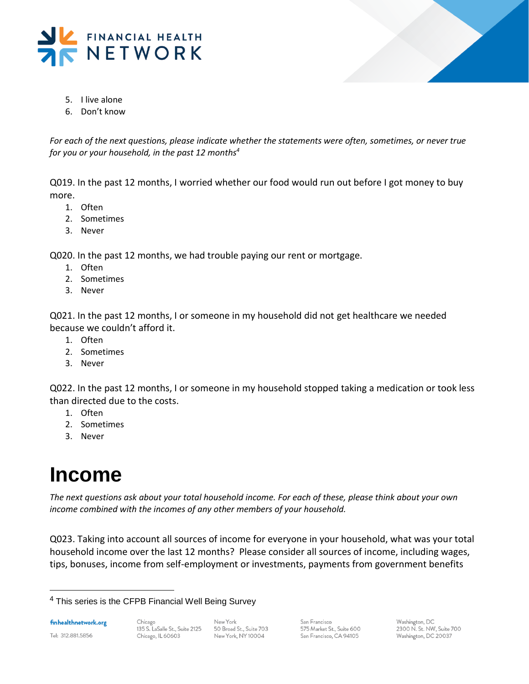



- 5. I live alone
- 6. Don't know

*For each of the next questions, please indicate whether the statements were often, sometimes, or never true for you or your household, in the past 12 months<sup>4</sup>*

Q019. In the past 12 months, I worried whether our food would run out before I got money to buy more.

- 1. Often
- 2. Sometimes
- 3. Never

Q020. In the past 12 months, we had trouble paying our rent or mortgage.

- 1. Often
- 2. Sometimes
- 3. Never

Q021. In the past 12 months, I or someone in my household did not get healthcare we needed because we couldn't afford it.

- 1. Often
- 2. Sometimes
- 3. Never

Q022. In the past 12 months, I or someone in my household stopped taking a medication or took less than directed due to the costs.

- 1. Often
- 2. Sometimes
- 3. Never

### **Income**

*The next questions ask about your total household income. For each of these, please think about your own income combined with the incomes of any other members of your household.* 

Q023. Taking into account all sources of income for everyone in your household, what was your total household income over the last 12 months? Please consider all sources of income, including wages, tips, bonuses, income from self-employment or investments, payments from government benefits

finhealthnetwork.org

Tel: 312.881.5856

l

New York 50 Broad St., Suite 703 New York, NY 10004

San Francisco 575 Market St., Suite 600 San Francisco, CA 94105

<sup>&</sup>lt;sup>4</sup> This series is the CFPB Financial Well Being Survey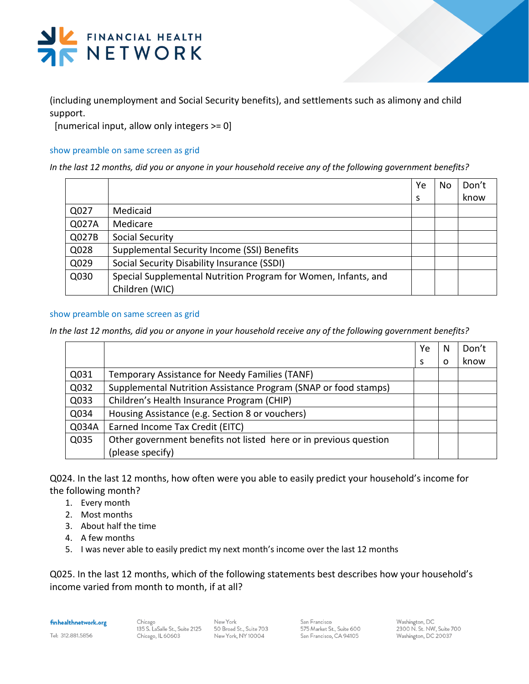

(including unemployment and Social Security benefits), and settlements such as alimony and child support.

[numerical input, allow only integers >= 0]

#### show preamble on same screen as grid

*In the last 12 months, did you or anyone in your household receive any of the following government benefits?*

|       |                                                                | Ye | No. | Don't |
|-------|----------------------------------------------------------------|----|-----|-------|
|       |                                                                | S  |     | know  |
| Q027  | Medicaid                                                       |    |     |       |
| Q027A | Medicare                                                       |    |     |       |
| Q027B | Social Security                                                |    |     |       |
| Q028  | Supplemental Security Income (SSI) Benefits                    |    |     |       |
| Q029  | Social Security Disability Insurance (SSDI)                    |    |     |       |
| Q030  | Special Supplemental Nutrition Program for Women, Infants, and |    |     |       |
|       | Children (WIC)                                                 |    |     |       |

#### show preamble on same screen as grid

*In the last 12 months, did you or anyone in your household receive any of the following government benefits?*

|       |                                                                   | Ye | N        | Don't |
|-------|-------------------------------------------------------------------|----|----------|-------|
|       |                                                                   | S  | $\Omega$ | know  |
| Q031  | Temporary Assistance for Needy Families (TANF)                    |    |          |       |
| Q032  | Supplemental Nutrition Assistance Program (SNAP or food stamps)   |    |          |       |
| Q033  | Children's Health Insurance Program (CHIP)                        |    |          |       |
| Q034  | Housing Assistance (e.g. Section 8 or vouchers)                   |    |          |       |
| Q034A | Earned Income Tax Credit (EITC)                                   |    |          |       |
| Q035  | Other government benefits not listed here or in previous question |    |          |       |
|       | (please specify)                                                  |    |          |       |

Q024. In the last 12 months, how often were you able to easily predict your household's income for the following month?

- 1. Every month
- 2. Most months
- 3. About half the time
- 4. A few months
- 5. I was never able to easily predict my next month's income over the last 12 months

Q025. In the last 12 months, which of the following statements best describes how your household's income varied from month to month, if at all?

finhealthnetwork.org

Chicago 135 S. LaSalle St., Suite 2125 Chicago, IL 60603

New York 50 Broad St., Suite 703 New York, NY 10004

San Francisco 575 Market St., Suite 600 San Francisco, CA 94105

Washington, DC 2300 N. St. NW, Suite 700 Washington, DC 20037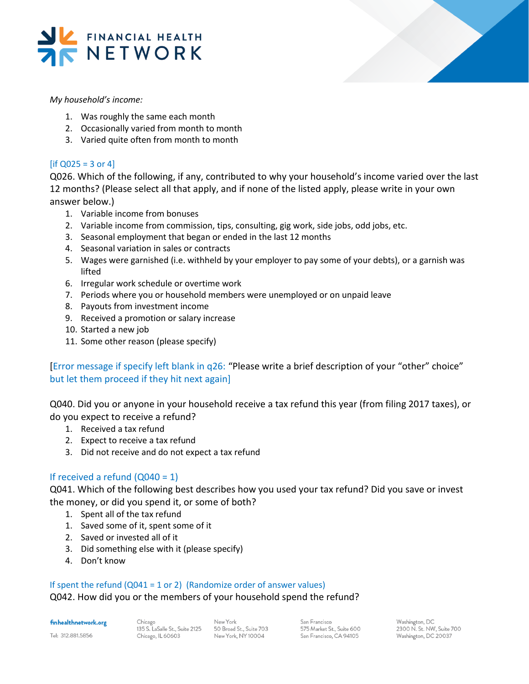



*My household's income:*

- 1. Was roughly the same each month
- 2. Occasionally varied from month to month
- 3. Varied quite often from month to month

#### $[$ if Q025 = 3 or 4 $]$

Q026. Which of the following, if any, contributed to why your household's income varied over the last 12 months? (Please select all that apply, and if none of the listed apply, please write in your own answer below.)

- 1. Variable income from bonuses
- 2. Variable income from commission, tips, consulting, gig work, side jobs, odd jobs, etc.
- 3. Seasonal employment that began or ended in the last 12 months
- 4. Seasonal variation in sales or contracts
- 5. Wages were garnished (i.e. withheld by your employer to pay some of your debts), or a garnish was lifted
- 6. Irregular work schedule or overtime work
- 7. Periods where you or household members were unemployed or on unpaid leave
- 8. Payouts from investment income
- 9. Received a promotion or salary increase
- 10. Started a new job
- 11. Some other reason (please specify)

[Error message if specify left blank in q26: "Please write a brief description of your "other" choice" but let them proceed if they hit next again]

Q040. Did you or anyone in your household receive a tax refund this year (from filing 2017 taxes), or do you expect to receive a refund?

- 1. Received a tax refund
- 2. Expect to receive a tax refund
- 3. Did not receive and do not expect a tax refund

#### If received a refund  $(Q040 = 1)$

Q041. Which of the following best describes how you used your tax refund? Did you save or invest the money, or did you spend it, or some of both?

- 1. Spent all of the tax refund
- 1. Saved some of it, spent some of it
- 2. Saved or invested all of it
- 3. Did something else with it (please specify)
- 4. Don't know

#### If spent the refund  $(Q041 = 1 \text{ or } 2)$  (Randomize order of answer values)

#### Q042. How did you or the members of your household spend the refund?

finhealthnetwork.org

Tel: 312.881.5856

Chicago 135 S. LaSalle St., Suite 2125 Chicago, IL 60603

New York 50 Broad St., Suite 703 New York, NY 10004

San Francisco 575 Market St., Suite 600 San Francisco, CA 94105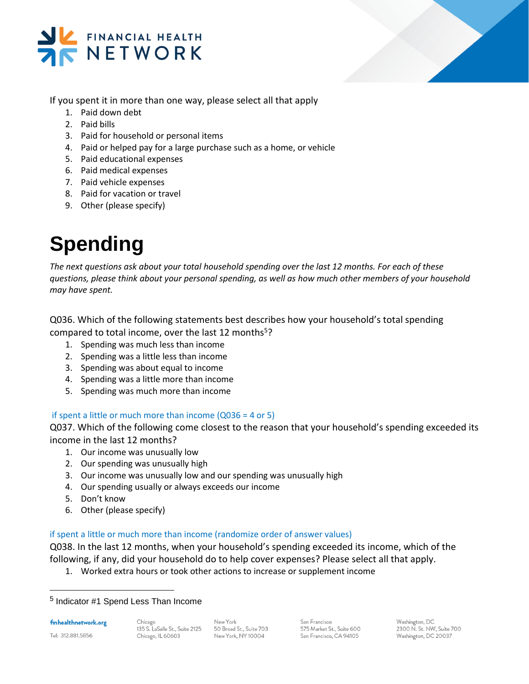



If you spent it in more than one way, please select all that apply

- 1. Paid down debt
- 2. Paid bills
- 3. Paid for household or personal items
- 4. Paid or helped pay for a large purchase such as a home, or vehicle
- 5. Paid educational expenses
- 6. Paid medical expenses
- 7. Paid vehicle expenses
- 8. Paid for vacation or travel
- 9. Other (please specify)

# **Spending**

*The next questions ask about your total household spending over the last 12 months. For each of these questions, please think about your personal spending, as well as how much other members of your household may have spent.* 

Q036. Which of the following statements best describes how your household's total spending compared to total income, over the last 12 months<sup>5</sup>?

- 1. Spending was much less than income
- 2. Spending was a little less than income
- 3. Spending was about equal to income
- 4. Spending was a little more than income
- 5. Spending was much more than income

#### if spent a little or much more than income (Q036 = 4 or 5)

Q037. Which of the following come closest to the reason that your household's spending exceeded its income in the last 12 months?

- 1. Our income was unusually low
- 2. Our spending was unusually high
- 3. Our income was unusually low and our spending was unusually high
- 4. Our spending usually or always exceeds our income
- 5. Don't know
- 6. Other (please specify)

#### if spent a little or much more than income (randomize order of answer values)

Q038. In the last 12 months, when your household's spending exceeded its income, which of the following, if any, did your household do to help cover expenses? Please select all that apply.

1. Worked extra hours or took other actions to increase or supplement income

finhealthnetwork.org

Tel: 312.881.5856

l

New York 50 Broad St., Suite 703 New York, NY 10004

San Francisco 575 Market St., Suite 600 San Francisco, CA 94105

<sup>&</sup>lt;sup>5</sup> Indicator #1 Spend Less Than Income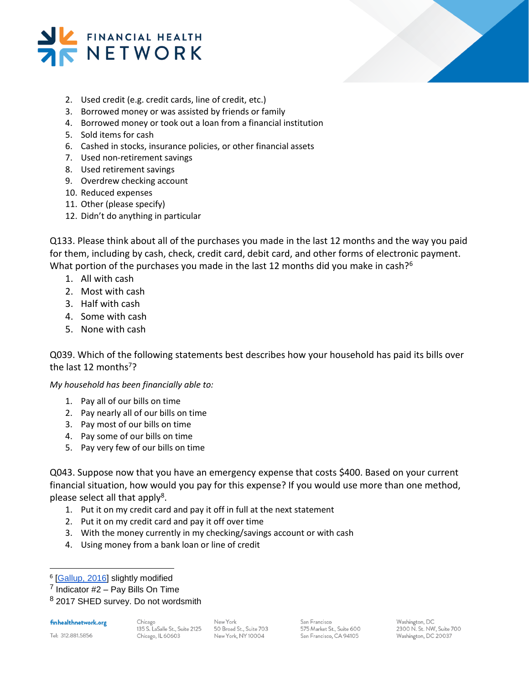



- 2. Used credit (e.g. credit cards, line of credit, etc.)
- 3. Borrowed money or was assisted by friends or family
- 4. Borrowed money or took out a loan from a financial institution
- 5. Sold items for cash
- 6. Cashed in stocks, insurance policies, or other financial assets
- 7. Used non-retirement savings
- 8. Used retirement savings
- 9. Overdrew checking account
- 10. Reduced expenses
- 11. Other (please specify)
- 12. Didn't do anything in particular

Q133. Please think about all of the purchases you made in the last 12 months and the way you paid for them, including by cash, check, credit card, debit card, and other forms of electronic payment. What portion of the purchases you made in the last 12 months did you make in cash?<sup>6</sup>

- 1. All with cash
- 2. Most with cash
- 3. Half with cash
- 4. Some with cash
- 5. None with cash

Q039. Which of the following statements best describes how your household has paid its bills over the last 12 months<sup>7</sup>?

*My household has been financially able to:* 

- 1. Pay all of our bills on time
- 2. Pay nearly all of our bills on time
- 3. Pay most of our bills on time
- 4. Pay some of our bills on time
- 5. Pay very few of our bills on time

Q043. Suppose now that you have an emergency expense that costs \$400. Based on your current financial situation, how would you pay for this expense? If you would use more than one method, please select all that apply<sup>8</sup>.

- 1. Put it on my credit card and pay it off in full at the next statement
- 2. Put it on my credit card and pay it off over time
- 3. With the money currently in my checking/savings account or with cash
- 4. Using money from a bank loan or line of credit

finhealthnetwork.org

l

New York 50 Broad St., Suite 703 New York, NY 10004

San Francisco 575 Market St., Suite 600 San Francisco, CA 94105

<sup>&</sup>lt;sup>6</sup> [\[Gallup, 2016\]](http://news.gallup.com/poll/193649/americans-using-cash-less-compared-five-years-ago.aspx) slightly modified

 $<sup>7</sup>$  Indicator #2 – Pay Bills On Time</sup>

<sup>&</sup>lt;sup>8</sup> 2017 SHED survey. Do not wordsmith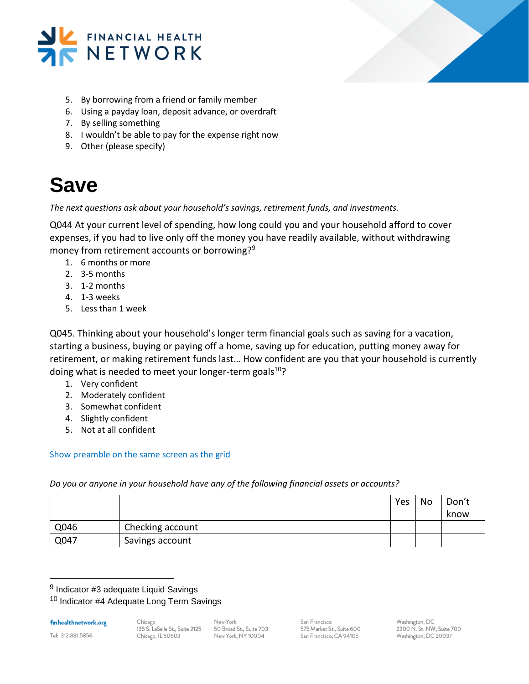



- 5. By borrowing from a friend or family member
- 6. Using a payday loan, deposit advance, or overdraft
- 7. By selling something
- 8. I wouldn't be able to pay for the expense right now
- 9. Other (please specify)

### **Save**

*The next questions ask about your household's savings, retirement funds, and investments.* 

Q044 At your current level of spending, how long could you and your household afford to cover expenses, if you had to live only off the money you have readily available, without withdrawing money from retirement accounts or borrowing?<sup>9</sup>

- 1. 6 months or more
- 2. 3-5 months
- 3. 1-2 months
- 4. 1-3 weeks
- 5. Less than 1 week

Q045. Thinking about your household's longer term financial goals such as saving for a vacation, starting a business, buying or paying off a home, saving up for education, putting money away for retirement, or making retirement funds last… How confident are you that your household is currently doing what is needed to meet your longer-term goals $10$ ?

- 1. Very confident
- 2. Moderately confident
- 3. Somewhat confident
- 4. Slightly confident
- 5. Not at all confident

#### Show preamble on the same screen as the grid

*Do you or anyone in your household have any of the following financial assets or accounts?* 

|      |                  | Yes | No | Don't<br>know |
|------|------------------|-----|----|---------------|
| Q046 | Checking account |     |    |               |
| Q047 | Savings account  |     |    |               |

<sup>9</sup> Indicator #3 adequate Liquid Savings

<sup>10</sup> Indicator #4 Adequate Long Term Savings

finhealthnetwork.org

Tel: 312.881.5856

l

Chicago 135 S. LaSalle St., Suite 2125 Chicago, IL 60603

New York 50 Broad St., Suite 703 New York, NY 10004

San Francisco 575 Market St., Suite 600 San Francisco, CA 94105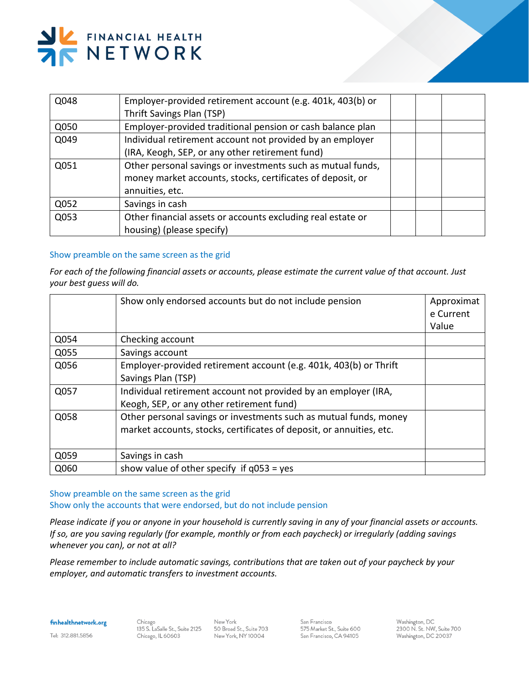# FINANCIAL HEALTH<br>NETWORK

| Q048 | Employer-provided retirement account (e.g. 401k, 403(b) or<br>Thrift Savings Plan (TSP)                                                      |  |  |
|------|----------------------------------------------------------------------------------------------------------------------------------------------|--|--|
| Q050 | Employer-provided traditional pension or cash balance plan                                                                                   |  |  |
| Q049 | Individual retirement account not provided by an employer<br>(IRA, Keogh, SEP, or any other retirement fund)                                 |  |  |
| Q051 | Other personal savings or investments such as mutual funds,<br>money market accounts, stocks, certificates of deposit, or<br>annuities, etc. |  |  |
| Q052 | Savings in cash                                                                                                                              |  |  |
| Q053 | Other financial assets or accounts excluding real estate or<br>housing) (please specify)                                                     |  |  |

#### Show preamble on the same screen as the grid

*For each of the following financial assets or accounts, please estimate the current value of that account. Just your best guess will do.* 

|      | Show only endorsed accounts but do not include pension                                                                                    | Approximat<br>e Current<br>Value |
|------|-------------------------------------------------------------------------------------------------------------------------------------------|----------------------------------|
| Q054 | Checking account                                                                                                                          |                                  |
| Q055 | Savings account                                                                                                                           |                                  |
| Q056 | Employer-provided retirement account (e.g. 401k, 403(b) or Thrift<br>Savings Plan (TSP)                                                   |                                  |
| Q057 | Individual retirement account not provided by an employer (IRA,<br>Keogh, SEP, or any other retirement fund)                              |                                  |
| Q058 | Other personal savings or investments such as mutual funds, money<br>market accounts, stocks, certificates of deposit, or annuities, etc. |                                  |
| Q059 | Savings in cash                                                                                                                           |                                  |
| Q060 | show value of other specify if $q053 = yes$                                                                                               |                                  |

#### Show preamble on the same screen as the grid Show only the accounts that were endorsed, but do not include pension

*Please indicate if you or anyone in your household is currently saving in any of your financial assets or accounts. If so, are you saving regularly (for example, monthly or from each paycheck) or irregularly (adding savings whenever you can), or not at all?* 

*Please remember to include automatic savings, contributions that are taken out of your paycheck by your employer, and automatic transfers to investment accounts.*

finhealthnetwork.org

Chicago 135 S. LaSalle St., Suite 2125 Chicago, IL 60603

New York 50 Broad St., Suite 703 New York, NY 10004

San Francisco 575 Market St., Suite 600 San Francisco, CA 94105

Washington, DC 2300 N. St. NW, Suite 700 Washington, DC 20037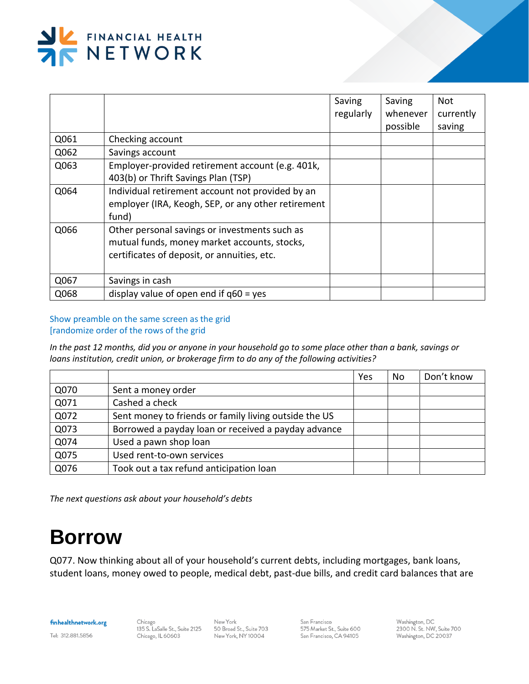

|      |                                                    | Saving    | Saving   | Not       |
|------|----------------------------------------------------|-----------|----------|-----------|
|      |                                                    | regularly | whenever | currently |
|      |                                                    |           | possible | saving    |
| Q061 | Checking account                                   |           |          |           |
| Q062 | Savings account                                    |           |          |           |
| Q063 | Employer-provided retirement account (e.g. 401k,   |           |          |           |
|      | 403(b) or Thrift Savings Plan (TSP)                |           |          |           |
| Q064 | Individual retirement account not provided by an   |           |          |           |
|      | employer (IRA, Keogh, SEP, or any other retirement |           |          |           |
|      | fund)                                              |           |          |           |
| Q066 | Other personal savings or investments such as      |           |          |           |
|      | mutual funds, money market accounts, stocks,       |           |          |           |
|      | certificates of deposit, or annuities, etc.        |           |          |           |
|      |                                                    |           |          |           |
| Q067 | Savings in cash                                    |           |          |           |
| Q068 | display value of open end if $q60 = yes$           |           |          |           |

Show preamble on the same screen as the grid [randomize order of the rows of the grid

*In the past 12 months, did you or anyone in your household go to some place other than a bank, savings or loans institution, credit union, or brokerage firm to do any of the following activities?*

|      |                                                       | Yes | No | Don't know |
|------|-------------------------------------------------------|-----|----|------------|
| Q070 | Sent a money order                                    |     |    |            |
| Q071 | Cashed a check                                        |     |    |            |
| Q072 | Sent money to friends or family living outside the US |     |    |            |
| Q073 | Borrowed a payday loan or received a payday advance   |     |    |            |
| Q074 | Used a pawn shop loan                                 |     |    |            |
| Q075 | Used rent-to-own services                             |     |    |            |
| Q076 | Took out a tax refund anticipation loan               |     |    |            |

*The next questions ask about your household's debts*

### **Borrow**

Q077. Now thinking about all of your household's current debts, including mortgages, bank loans, student loans, money owed to people, medical debt, past-due bills, and credit card balances that are

finhealthnetwork.org

Chicago 135 S. LaSalle St., Suite 2125 Chicago, IL 60603

New York 50 Broad St., Suite 703 New York, NY 10004

San Francisco 575 Market St., Suite 600 San Francisco, CA 94105

Washington, DC 2300 N. St. NW, Suite 700 Washington, DC 20037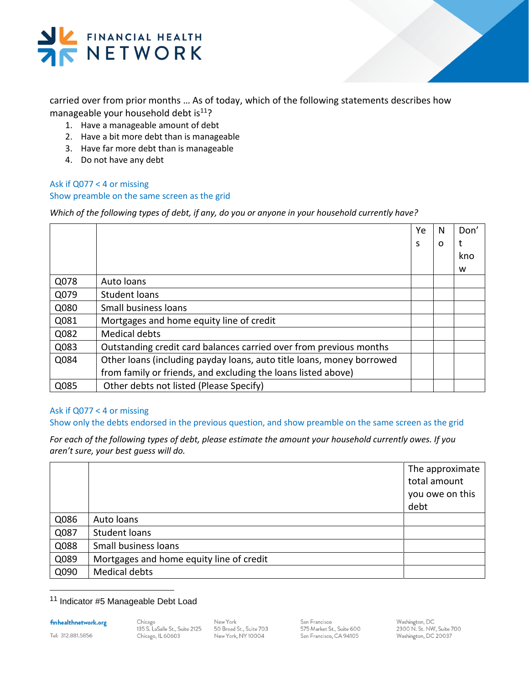

carried over from prior months … As of today, which of the following statements describes how manageable your household debt is $11$ ?

- 1. Have a manageable amount of debt
- 2. Have a bit more debt than is manageable
- 3. Have far more debt than is manageable
- 4. Do not have any debt

#### Ask if Q077 < 4 or missing Show preamble on the same screen as the grid

*Which of the following types of debt, if any, do you or anyone in your household currently have?* 

|      |                                                                       | Ye | N | Don' |
|------|-----------------------------------------------------------------------|----|---|------|
|      |                                                                       | S  | O | t    |
|      |                                                                       |    |   | kno  |
|      |                                                                       |    |   | w    |
| Q078 | Auto Ioans                                                            |    |   |      |
| Q079 | Student loans                                                         |    |   |      |
| Q080 | Small business loans                                                  |    |   |      |
| Q081 | Mortgages and home equity line of credit                              |    |   |      |
| Q082 | <b>Medical debts</b>                                                  |    |   |      |
| Q083 | Outstanding credit card balances carried over from previous months    |    |   |      |
| Q084 | Other loans (including payday loans, auto title loans, money borrowed |    |   |      |
|      | from family or friends, and excluding the loans listed above)         |    |   |      |
| Q085 | Other debts not listed (Please Specify)                               |    |   |      |

#### Ask if Q077 < 4 or missing

Show only the debts endorsed in the previous question, and show preamble on the same screen as the grid

*For each of the following types of debt, please estimate the amount your household currently owes. If you aren't sure, your best guess will do.*

|      |                                          | The approximate<br>total amount<br>you owe on this<br>debt |
|------|------------------------------------------|------------------------------------------------------------|
| Q086 | Auto loans                               |                                                            |
| Q087 | Student loans                            |                                                            |
| Q088 | Small business loans                     |                                                            |
| Q089 | Mortgages and home equity line of credit |                                                            |
| Q090 | <b>Medical debts</b>                     |                                                            |

#### <sup>11</sup> Indicator #5 Manageable Debt Load

finhealthnetwork.org

Tel: 312.881.5856

l

Chicago 135 S. LaSalle St., Suite 2125 Chicago, IL 60603

New York 50 Broad St., Suite 703 New York, NY 10004

San Francisco 575 Market St., Suite 600 San Francisco, CA 94105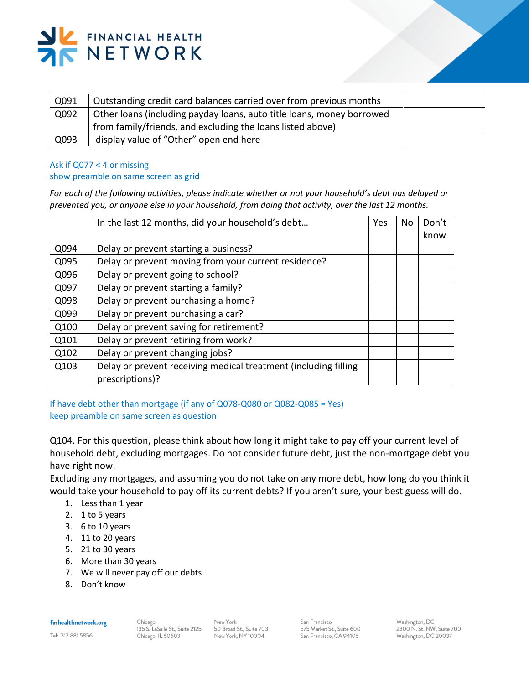

| Outstanding credit card balances carried over from previous months    |  |
|-----------------------------------------------------------------------|--|
| Other loans (including payday loans, auto title loans, money borrowed |  |
| from family/friends, and excluding the loans listed above)            |  |
| display value of "Other" open end here                                |  |
|                                                                       |  |

#### Ask if Q077 < 4 or missing

#### show preamble on same screen as grid

*For each of the following activities, please indicate whether or not your household's debt has delayed or prevented you, or anyone else in your household, from doing that activity, over the last 12 months.* 

|      | In the last 12 months, did your household's debt                | <b>Yes</b> | No. | Don't |
|------|-----------------------------------------------------------------|------------|-----|-------|
|      |                                                                 |            |     | know  |
| Q094 | Delay or prevent starting a business?                           |            |     |       |
| Q095 | Delay or prevent moving from your current residence?            |            |     |       |
| Q096 | Delay or prevent going to school?                               |            |     |       |
| Q097 | Delay or prevent starting a family?                             |            |     |       |
| Q098 | Delay or prevent purchasing a home?                             |            |     |       |
| Q099 | Delay or prevent purchasing a car?                              |            |     |       |
| Q100 | Delay or prevent saving for retirement?                         |            |     |       |
| Q101 | Delay or prevent retiring from work?                            |            |     |       |
| Q102 | Delay or prevent changing jobs?                                 |            |     |       |
| Q103 | Delay or prevent receiving medical treatment (including filling |            |     |       |
|      | prescriptions)?                                                 |            |     |       |

If have debt other than mortgage (if any of Q078-Q080 or Q082-Q085 = Yes) keep preamble on same screen as question

Q104. For this question, please think about how long it might take to pay off your current level of household debt, excluding mortgages. Do not consider future debt, just the non-mortgage debt you have right now.

Excluding any mortgages, and assuming you do not take on any more debt, how long do you think it would take your household to pay off its current debts? If you aren't sure, your best guess will do.

- 1. Less than 1 year
- 2. 1 to 5 years
- 3. 6 to 10 years
- 4. 11 to 20 years
- 5. 21 to 30 years
- 6. More than 30 years
- 7. We will never pay off our debts
- 8. Don't know

#### finhealthnetwork.org

Tel: 312.881.5856

New York 50 Broad St., Suite 703 New York, NY10004

San Francisco 575 Market St., Suite 600 San Francisco, CA 94105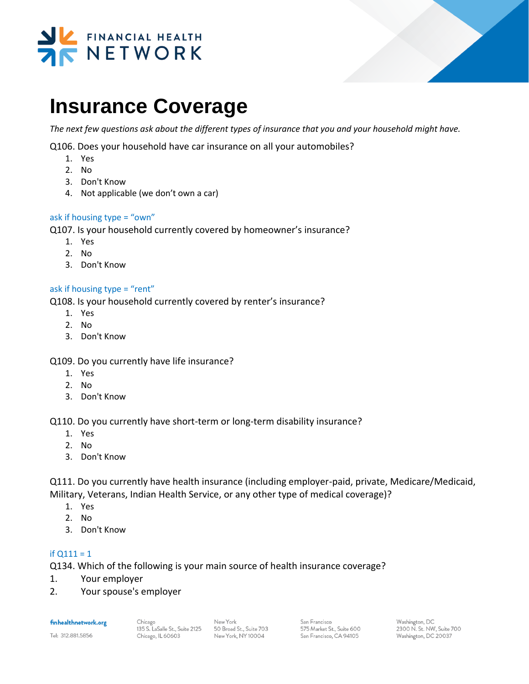



### **Insurance Coverage**

*The next few questions ask about the different types of insurance that you and your household might have.* 

Q106. Does your household have car insurance on all your automobiles?

- 1. Yes
- 2. No
- 3. Don't Know
- 4. Not applicable (we don't own a car)

#### ask if housing type = "own"

Q107. Is your household currently covered by homeowner's insurance?

- 1. Yes
- 2. No
- 3. Don't Know

#### ask if housing type = "rent"

Q108. Is your household currently covered by renter's insurance?

- 1. Yes
- 2. No
- 3. Don't Know

Q109. Do you currently have life insurance?

- 1. Yes
- 2. No
- 3. Don't Know

Q110. Do you currently have short-term or long-term disability insurance?

- 1. Yes
- 2. No
- 3. Don't Know

Q111. Do you currently have health insurance (including employer-paid, private, Medicare/Medicaid, Military, Veterans, Indian Health Service, or any other type of medical coverage)?

- 1. Yes
- 2. No
- 3. Don't Know

#### if  $Q111 = 1$

Q134. Which of the following is your main source of health insurance coverage?

- 1. Your employer
- 2. Your spouse's employer

finhealthnetwork.org

Tel: 312.881.5856

San Francisco 575 Market St., Suite 600 San Francisco, CA 94105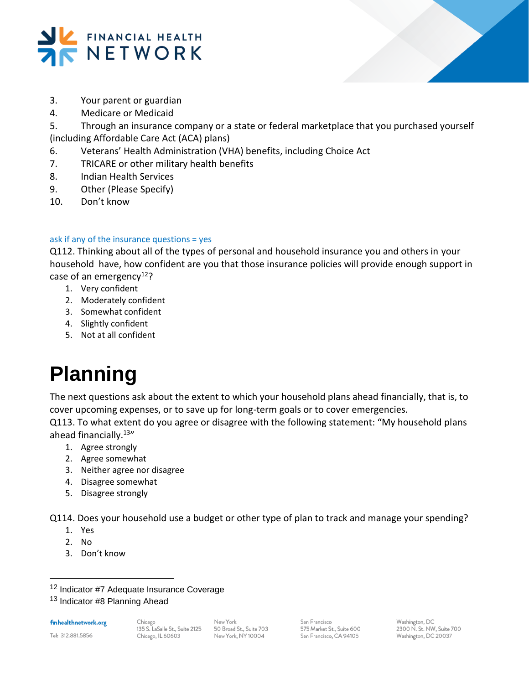

- 3. Your parent or guardian
- 4. Medicare or Medicaid
- 5. Through an insurance company or a state or federal marketplace that you purchased yourself

(including Affordable Care Act (ACA) plans)

- 6. Veterans' Health Administration (VHA) benefits, including Choice Act
- 7. TRICARE or other military health benefits
- 8. Indian Health Services
- 9. Other (Please Specify)
- 10. Don't know

#### ask if any of the insurance questions = yes

Q112. Thinking about all of the types of personal and household insurance you and others in your household have, how confident are you that those insurance policies will provide enough support in case of an emergency<sup>12</sup>?

- 1. Very confident
- 2. Moderately confident
- 3. Somewhat confident
- 4. Slightly confident
- 5. Not at all confident

# **Planning**

The next questions ask about the extent to which your household plans ahead financially, that is, to cover upcoming expenses, or to save up for long-term goals or to cover emergencies.

Q113. To what extent do you agree or disagree with the following statement: "My household plans ahead financially.<sup>13</sup>"

- 1. Agree strongly
- 2. Agree somewhat
- 3. Neither agree nor disagree
- 4. Disagree somewhat
- 5. Disagree strongly

Q114. Does your household use a budget or other type of plan to track and manage your spending?

- 1. Yes
- 2. No

l

3. Don't know

Tel: 312.881.5856

New York 50 Broad St., Suite 703 New York, NY 10004

San Francisco 575 Market St., Suite 600 San Francisco, CA 94105

<sup>&</sup>lt;sup>12</sup> Indicator #7 Adequate Insurance Coverage

<sup>13</sup> Indicator #8 Planning Ahead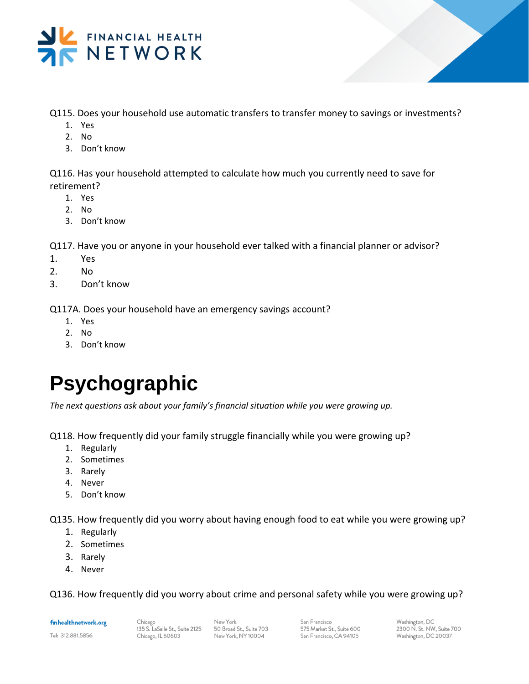

- Q115. Does your household use automatic transfers to transfer money to savings or investments?
	- 1. Yes
	- 2. No
	- 3. Don't know

Q116. Has your household attempted to calculate how much you currently need to save for retirement?

- 1. Yes
- 2. No
- 3. Don't know

Q117. Have you or anyone in your household ever talked with a financial planner or advisor?

- 1. Yes
- 2. No
- 3. Don't know

Q117A. Does your household have an emergency savings account?

- 1. Yes
- 2. No
- 3. Don't know

## **Psychographic**

*The next questions ask about your family's financial situation while you were growing up.* 

Q118. How frequently did your family struggle financially while you were growing up?

- 1. Regularly
- 2. Sometimes
- 3. Rarely
- 4. Never
- 5. Don't know

Q135. How frequently did you worry about having enough food to eat while you were growing up?

- 1. Regularly
- 2. Sometimes
- 3. Rarely
- 4. Never

Q136. How frequently did you worry about crime and personal safety while you were growing up?

finhealthnetwork.org

Tel: 312.881.5856

Chicago 135 S. LaSalle St., Suite 2125 Chicago, IL 60603

New York 50 Broad St., Suite 703 New York, NY 10004

San Francisco 575 Market St., Suite 600 San Francisco, CA 94105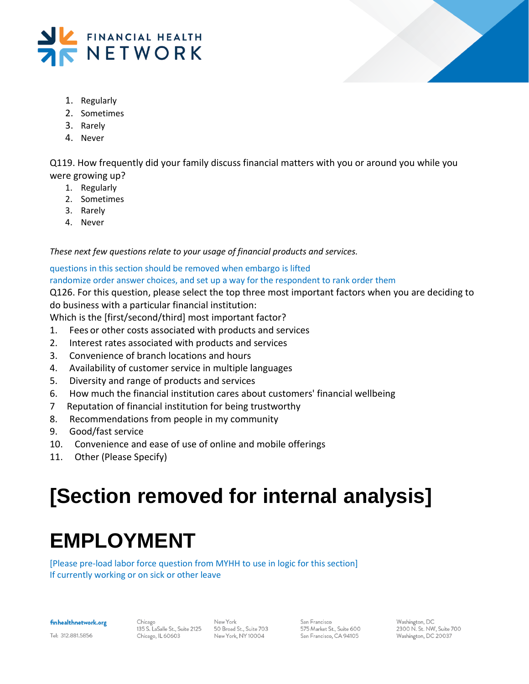



- 1. Regularly
- 2. Sometimes
- 3. Rarely
- 4. Never

Q119. How frequently did your family discuss financial matters with you or around you while you were growing up?

- 1. Regularly
- 2. Sometimes
- 3. Rarely
- 4. Never

*These next few questions relate to your usage of financial products and services.*

questions in this section should be removed when embargo is lifted randomize order answer choices, and set up a way for the respondent to rank order them

Q126. For this question, please select the top three most important factors when you are deciding to do business with a particular financial institution:

Which is the [first/second/third] most important factor?

- 1. Fees or other costs associated with products and services
- 2. Interest rates associated with products and services
- 3. Convenience of branch locations and hours
- 4. Availability of customer service in multiple languages
- 5. Diversity and range of products and services
- 6. How much the financial institution cares about customers' financial wellbeing
- 7 Reputation of financial institution for being trustworthy
- 8. Recommendations from people in my community
- 9. Good/fast service
- 10. Convenience and ease of use of online and mobile offerings
- 11. Other (Please Specify)

# **[Section removed for internal analysis]**

# **EMPLOYMENT**

[Please pre-load labor force question from MYHH to use in logic for this section] If currently working or on sick or other leave

finhealthnetwork.org

Chicago 135 S. LaSalle St., Suite 2125 Chicago, IL 60603

New York 50 Broad St., Suite 703 New York, NY 10004

San Francisco 575 Market St., Suite 600 San Francisco, CA 94105

Washington, DC 2300 N. St. NW, Suite 700 Washington, DC 20037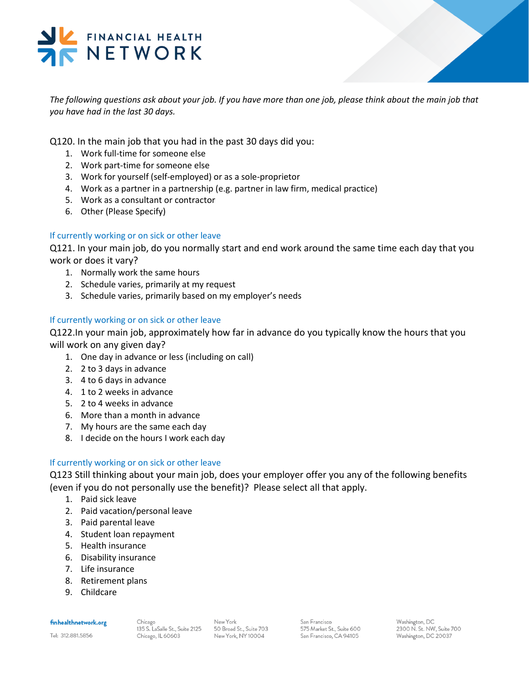### FINANCIAL HEALTH NETWORK

*The following questions ask about your job. If you have more than one job, please think about the main job that you have had in the last 30 days.* 

Q120. In the main job that you had in the past 30 days did you:

- 1. Work full-time for someone else
- 2. Work part-time for someone else
- 3. Work for yourself (self-employed) or as a sole-proprietor
- 4. Work as a partner in a partnership (e.g. partner in law firm, medical practice)
- 5. Work as a consultant or contractor
- 6. Other (Please Specify)

#### If currently working or on sick or other leave

Q121. In your main job, do you normally start and end work around the same time each day that you work or does it vary?

- 1. Normally work the same hours
- 2. Schedule varies, primarily at my request
- 3. Schedule varies, primarily based on my employer's needs

#### If currently working or on sick or other leave

Q122.In your main job, approximately how far in advance do you typically know the hours that you will work on any given day?

- 1. One day in advance or less (including on call)
- 2. 2 to 3 days in advance
- 3. 4 to 6 days in advance
- 4. 1 to 2 weeks in advance
- 5. 2 to 4 weeks in advance
- 6. More than a month in advance
- 7. My hours are the same each day
- 8. I decide on the hours I work each day

#### If currently working or on sick or other leave

Q123 Still thinking about your main job, does your employer offer you any of the following benefits (even if you do not personally use the benefit)? Please select all that apply.

- 1. Paid sick leave
- 2. Paid vacation/personal leave
- 3. Paid parental leave
- 4. Student loan repayment
- 5. Health insurance
- 6. Disability insurance
- 7. Life insurance
- 8. Retirement plans
- 9. Childcare

#### finhealthnetwork.org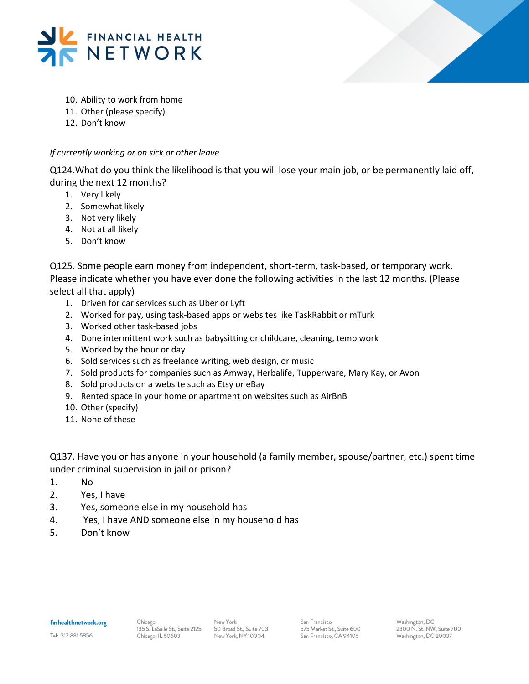



- 10. Ability to work from home
- 11. Other (please specify)
- 12. Don't know

#### *If currently working or on sick or other leave*

Q124.What do you think the likelihood is that you will lose your main job, or be permanently laid off, during the next 12 months?

- 1. Very likely
- 2. Somewhat likely
- 3. Not very likely
- 4. Not at all likely
- 5. Don't know

Q125. Some people earn money from independent, short-term, task-based, or temporary work. Please indicate whether you have ever done the following activities in the last 12 months. (Please select all that apply)

- 1. Driven for car services such as Uber or Lyft
- 2. Worked for pay, using task-based apps or websites like TaskRabbit or mTurk
- 3. Worked other task-based jobs
- 4. Done intermittent work such as babysitting or childcare, cleaning, temp work
- 5. Worked by the hour or day
- 6. Sold services such as freelance writing, web design, or music
- 7. Sold products for companies such as Amway, Herbalife, Tupperware, Mary Kay, or Avon
- 8. Sold products on a website such as Etsy or eBay
- 9. Rented space in your home or apartment on websites such as AirBnB
- 10. Other (specify)
- 11. None of these

Q137. Have you or has anyone in your household (a family member, spouse/partner, etc.) spent time under criminal supervision in jail or prison?

- 1. No
- 2. Yes, I have
- 3. Yes, someone else in my household has
- 4. Yes, I have AND someone else in my household has
- 5. Don't know